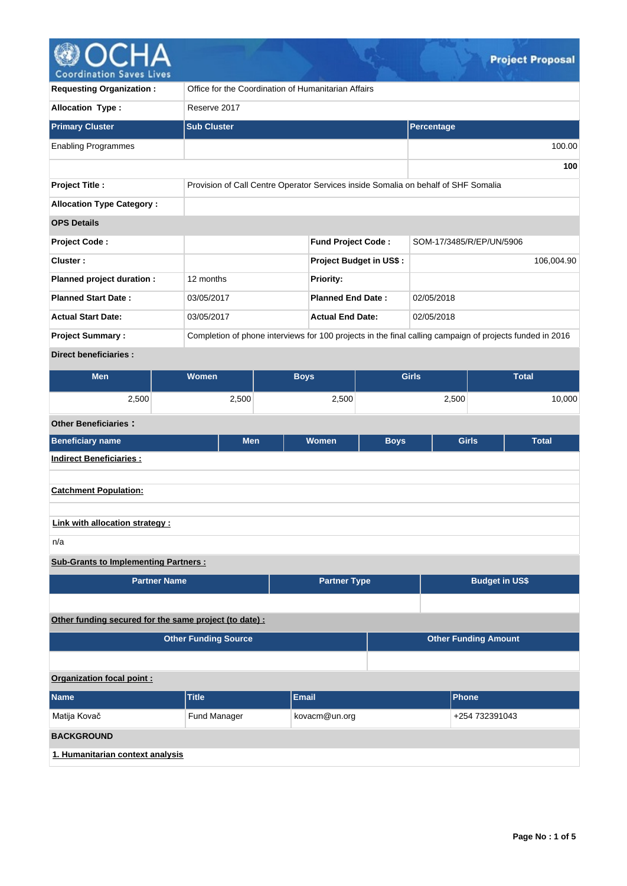

| <b>Requesting Organization:</b>             |                                                        | Office for the Coordination of Humanitarian Affairs                                                      |             |                             |                       |  |
|---------------------------------------------|--------------------------------------------------------|----------------------------------------------------------------------------------------------------------|-------------|-----------------------------|-----------------------|--|
| Allocation Type:                            | Reserve 2017                                           |                                                                                                          |             |                             |                       |  |
| <b>Primary Cluster</b>                      | <b>Sub Cluster</b>                                     |                                                                                                          |             | Percentage                  |                       |  |
| <b>Enabling Programmes</b>                  |                                                        |                                                                                                          |             |                             | 100.00                |  |
|                                             |                                                        |                                                                                                          |             |                             | 100                   |  |
| <b>Project Title:</b>                       |                                                        | Provision of Call Centre Operator Services inside Somalia on behalf of SHF Somalia                       |             |                             |                       |  |
| <b>Allocation Type Category:</b>            |                                                        |                                                                                                          |             |                             |                       |  |
| <b>OPS Details</b>                          |                                                        |                                                                                                          |             |                             |                       |  |
| <b>Project Code:</b>                        |                                                        | <b>Fund Project Code:</b>                                                                                |             | SOM-17/3485/R/EP/UN/5906    |                       |  |
| Cluster:                                    |                                                        | Project Budget in US\$:                                                                                  |             |                             | 106,004.90            |  |
| Planned project duration :                  | 12 months                                              | Priority:                                                                                                |             |                             |                       |  |
| <b>Planned Start Date:</b>                  | 03/05/2017                                             | <b>Planned End Date:</b>                                                                                 |             | 02/05/2018                  |                       |  |
| <b>Actual Start Date:</b>                   | 03/05/2017                                             | <b>Actual End Date:</b>                                                                                  |             | 02/05/2018                  |                       |  |
| <b>Project Summary:</b>                     |                                                        | Completion of phone interviews for 100 projects in the final calling campaign of projects funded in 2016 |             |                             |                       |  |
| <b>Direct beneficiaries:</b>                |                                                        |                                                                                                          |             |                             |                       |  |
| <b>Men</b>                                  | <b>Women</b>                                           | <b>Boys</b>                                                                                              |             | <b>Girls</b>                | <b>Total</b>          |  |
| 2,500                                       | 2,500                                                  | 2,500                                                                                                    |             | 2,500                       | 10,000                |  |
| <b>Other Beneficiaries:</b>                 |                                                        |                                                                                                          |             |                             |                       |  |
| <b>Beneficiary name</b>                     | <b>Men</b>                                             | Women                                                                                                    | <b>Boys</b> | <b>Girls</b>                | <b>Total</b>          |  |
| <b>Indirect Beneficiaries:</b>              |                                                        |                                                                                                          |             |                             |                       |  |
| <b>Catchment Population:</b>                |                                                        |                                                                                                          |             |                             |                       |  |
|                                             |                                                        |                                                                                                          |             |                             |                       |  |
| Link with allocation strategy :             |                                                        |                                                                                                          |             |                             |                       |  |
| n/a                                         |                                                        |                                                                                                          |             |                             |                       |  |
| <b>Sub-Grants to Implementing Partners:</b> |                                                        |                                                                                                          |             |                             |                       |  |
|                                             | <b>Partner Name</b>                                    | <b>Partner Type</b>                                                                                      |             |                             | <b>Budget in US\$</b> |  |
|                                             |                                                        |                                                                                                          |             |                             |                       |  |
|                                             | Other funding secured for the same project (to date) : |                                                                                                          |             |                             |                       |  |
|                                             | <b>Other Funding Source</b>                            |                                                                                                          |             | <b>Other Funding Amount</b> |                       |  |
|                                             |                                                        |                                                                                                          |             |                             |                       |  |
| Organization focal point:                   |                                                        |                                                                                                          |             |                             |                       |  |
| <b>Name</b>                                 | <b>Title</b>                                           | <b>Email</b>                                                                                             |             | <b>Phone</b>                |                       |  |
| Matija Kovač                                | Fund Manager                                           | kovacm@un.org<br>+254 732391043                                                                          |             |                             |                       |  |
| <b>BACKGROUND</b>                           |                                                        |                                                                                                          |             |                             |                       |  |
| 1. Humanitarian context analysis            |                                                        |                                                                                                          |             |                             |                       |  |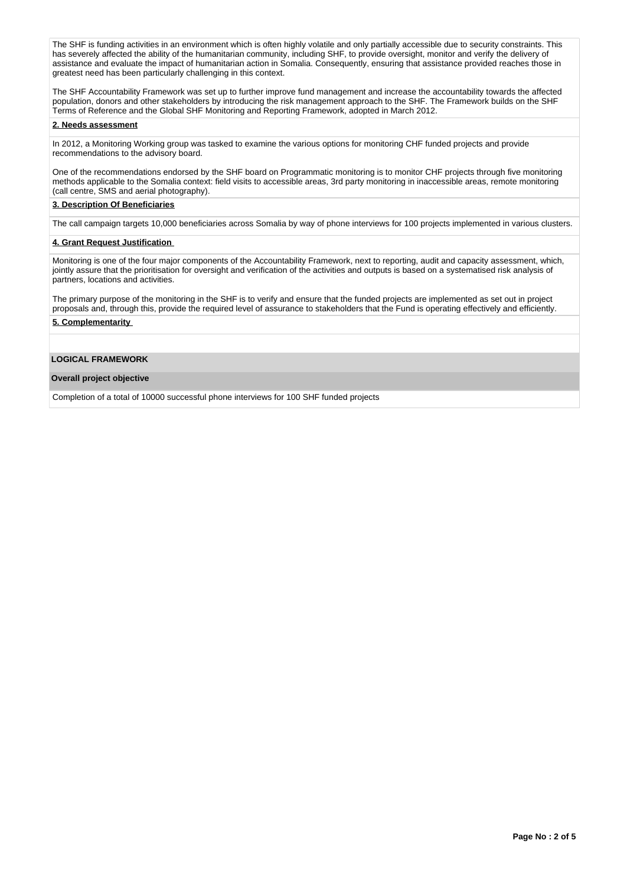The SHF is funding activities in an environment which is often highly volatile and only partially accessible due to security constraints. This has severely affected the ability of the humanitarian community, including SHF, to provide oversight, monitor and verify the delivery of assistance and evaluate the impact of humanitarian action in Somalia. Consequently, ensuring that assistance provided reaches those in greatest need has been particularly challenging in this context.

The SHF Accountability Framework was set up to further improve fund management and increase the accountability towards the affected population, donors and other stakeholders by introducing the risk management approach to the SHF. The Framework builds on the SHF Terms of Reference and the Global SHF Monitoring and Reporting Framework, adopted in March 2012.

## **2. Needs assessment**

In 2012, a Monitoring Working group was tasked to examine the various options for monitoring CHF funded projects and provide recommendations to the advisory board.

One of the recommendations endorsed by the SHF board on Programmatic monitoring is to monitor CHF projects through five monitoring methods applicable to the Somalia context: field visits to accessible areas, 3rd party monitoring in inaccessible areas, remote monitoring (call centre, SMS and aerial photography).

## **3. Description Of Beneficiaries**

The call campaign targets 10,000 beneficiaries across Somalia by way of phone interviews for 100 projects implemented in various clusters.

#### **4. Grant Request Justification**

Monitoring is one of the four major components of the Accountability Framework, next to reporting, audit and capacity assessment, which, jointly assure that the prioritisation for oversight and verification of the activities and outputs is based on a systematised risk analysis of partners, locations and activities.

The primary purpose of the monitoring in the SHF is to verify and ensure that the funded projects are implemented as set out in project proposals and, through this, provide the required level of assurance to stakeholders that the Fund is operating effectively and efficiently.

## **5. Complementarity**

## **LOGICAL FRAMEWORK**

#### **Overall project objective**

Completion of a total of 10000 successful phone interviews for 100 SHF funded projects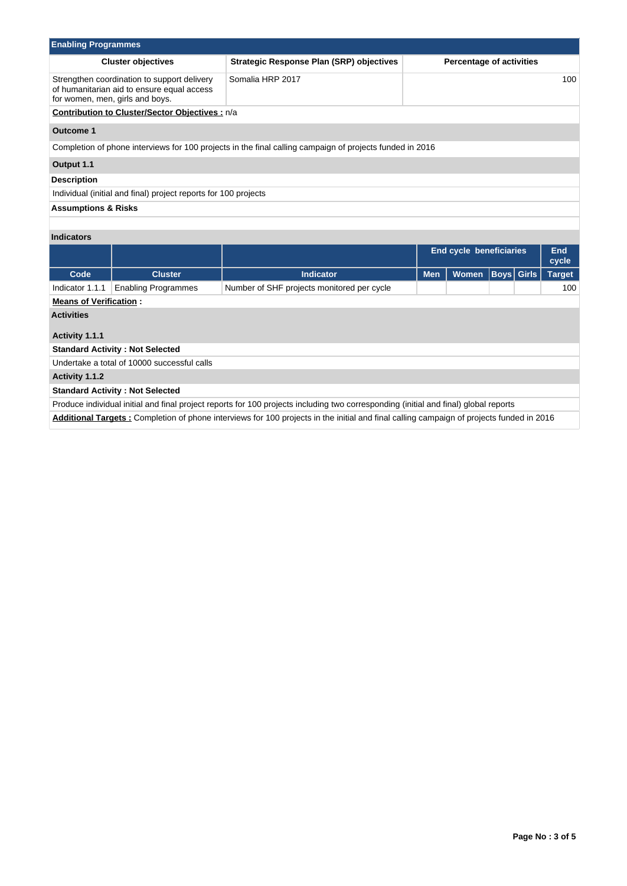| <b>Enabling Programmes</b>                      |                                                                                                                              |                                                                                                                                          |            |                                 |                   |  |               |  |  |  |  |
|-------------------------------------------------|------------------------------------------------------------------------------------------------------------------------------|------------------------------------------------------------------------------------------------------------------------------------------|------------|---------------------------------|-------------------|--|---------------|--|--|--|--|
|                                                 | <b>Cluster objectives</b>                                                                                                    | <b>Strategic Response Plan (SRP) objectives</b>                                                                                          |            | <b>Percentage of activities</b> |                   |  |               |  |  |  |  |
|                                                 | Strengthen coordination to support delivery<br>of humanitarian aid to ensure equal access<br>for women, men, girls and boys. | Somalia HRP 2017                                                                                                                         | 100        |                                 |                   |  |               |  |  |  |  |
| Contribution to Cluster/Sector Objectives : n/a |                                                                                                                              |                                                                                                                                          |            |                                 |                   |  |               |  |  |  |  |
| <b>Outcome 1</b>                                |                                                                                                                              |                                                                                                                                          |            |                                 |                   |  |               |  |  |  |  |
|                                                 |                                                                                                                              | Completion of phone interviews for 100 projects in the final calling campaign of projects funded in 2016                                 |            |                                 |                   |  |               |  |  |  |  |
| Output 1.1                                      |                                                                                                                              |                                                                                                                                          |            |                                 |                   |  |               |  |  |  |  |
| <b>Description</b>                              |                                                                                                                              |                                                                                                                                          |            |                                 |                   |  |               |  |  |  |  |
|                                                 | Individual (initial and final) project reports for 100 projects                                                              |                                                                                                                                          |            |                                 |                   |  |               |  |  |  |  |
| <b>Assumptions &amp; Risks</b>                  |                                                                                                                              |                                                                                                                                          |            |                                 |                   |  |               |  |  |  |  |
|                                                 |                                                                                                                              |                                                                                                                                          |            |                                 |                   |  |               |  |  |  |  |
| <b>Indicators</b>                               |                                                                                                                              |                                                                                                                                          |            |                                 |                   |  |               |  |  |  |  |
|                                                 |                                                                                                                              |                                                                                                                                          |            | <b>End cycle beneficiaries</b>  |                   |  | End<br>cycle  |  |  |  |  |
| Code                                            | <b>Cluster</b>                                                                                                               | <b>Indicator</b>                                                                                                                         | <b>Men</b> | Women                           | <b>Boys</b> Girls |  | <b>Target</b> |  |  |  |  |
| Indicator 1.1.1                                 | <b>Enabling Programmes</b>                                                                                                   | Number of SHF projects monitored per cycle                                                                                               |            |                                 |                   |  | 100           |  |  |  |  |
| <b>Means of Verification:</b>                   |                                                                                                                              |                                                                                                                                          |            |                                 |                   |  |               |  |  |  |  |
| <b>Activities</b>                               |                                                                                                                              |                                                                                                                                          |            |                                 |                   |  |               |  |  |  |  |
| Activity 1.1.1                                  |                                                                                                                              |                                                                                                                                          |            |                                 |                   |  |               |  |  |  |  |
| <b>Standard Activity: Not Selected</b>          |                                                                                                                              |                                                                                                                                          |            |                                 |                   |  |               |  |  |  |  |
|                                                 | Undertake a total of 10000 successful calls                                                                                  |                                                                                                                                          |            |                                 |                   |  |               |  |  |  |  |
| Activity 1.1.2                                  |                                                                                                                              |                                                                                                                                          |            |                                 |                   |  |               |  |  |  |  |
|                                                 | <b>Standard Activity: Not Selected</b>                                                                                       |                                                                                                                                          |            |                                 |                   |  |               |  |  |  |  |
|                                                 |                                                                                                                              | Produce individual initial and final project reports for 100 projects including two corresponding (initial and final) global reports     |            |                                 |                   |  |               |  |  |  |  |
|                                                 |                                                                                                                              | Additional Targets: Completion of phone interviews for 100 projects in the initial and final calling campaign of projects funded in 2016 |            |                                 |                   |  |               |  |  |  |  |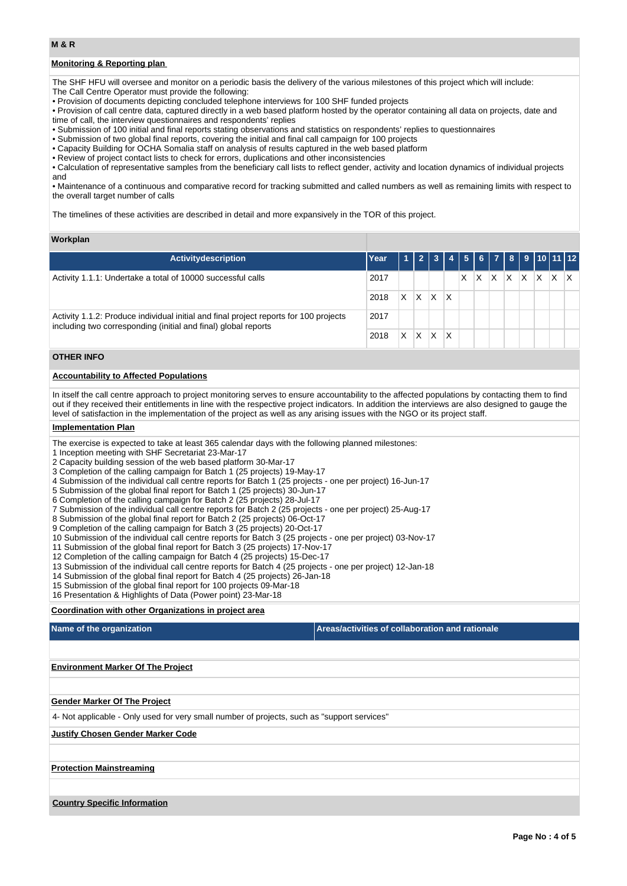## **Monitoring & Reporting plan**

The SHF HFU will oversee and monitor on a periodic basis the delivery of the various milestones of this project which will include: The Call Centre Operator must provide the following:

• Provision of documents depicting concluded telephone interviews for 100 SHF funded projects

• Provision of call centre data, captured directly in a web based platform hosted by the operator containing all data on projects, date and time of call, the interview questionnaires and respondents' replies

• Submission of 100 initial and final reports stating observations and statistics on respondents' replies to questionnaires

• Submission of two global final reports, covering the initial and final call campaign for 100 projects

• Capacity Building for OCHA Somalia staff on analysis of results captured in the web based platform

• Review of project contact lists to check for errors, duplications and other inconsistencies

• Calculation of representative samples from the beneficiary call lists to reflect gender, activity and location dynamics of individual projects and

• Maintenance of a continuous and comparative record for tracking submitted and called numbers as well as remaining limits with respect to the overall target number of calls

The timelines of these activities are described in detail and more expansively in the TOR of this project.

#### **Workplan**

| <b>Activitydescription</b>                                                                                                                              | Year |   |   |   |   |   |   |         |  |   | 1 2 3 4 5 6 7 8 9 10 11 12 |  |
|---------------------------------------------------------------------------------------------------------------------------------------------------------|------|---|---|---|---|---|---|---------|--|---|----------------------------|--|
| Activity 1.1.1: Undertake a total of 10000 successful calls<br>2017                                                                                     |      |   |   |   |   | X | X | x  x  x |  | X | IX.                        |  |
|                                                                                                                                                         | 2018 | X | X | X | Χ |   |   |         |  |   |                            |  |
| Activity 1.1.2: Produce individual initial and final project reports for 100 projects<br>including two corresponding (initial and final) global reports |      |   |   |   |   |   |   |         |  |   |                            |  |
|                                                                                                                                                         | 2018 | X | Χ |   | X |   |   |         |  |   |                            |  |

## **OTHER INFO**

## **Accountability to Affected Populations**

In itself the call centre approach to project monitoring serves to ensure accountability to the affected populations by contacting them to find out if they received their entitlements in line with the respective project indicators. In addition the interviews are also designed to gauge the level of satisfaction in the implementation of the project as well as any arising issues with the NGO or its project staff.

### **Implementation Plan**

The exercise is expected to take at least 365 calendar days with the following planned milestones:

1 Inception meeting with SHF Secretariat 23-Mar-17

2 Capacity building session of the web based platform 30-Mar-17

3 Completion of the calling campaign for Batch 1 (25 projects) 19-May-17

4 Submission of the individual call centre reports for Batch 1 (25 projects - one per project) 16-Jun-17

5 Submission of the global final report for Batch 1 (25 projects) 30-Jun-17

6 Completion of the calling campaign for Batch 2 (25 projects) 28-Jul-17

7 Submission of the individual call centre reports for Batch 2 (25 projects - one per project) 25-Aug-17

8 Submission of the global final report for Batch 2 (25 projects) 06-Oct-17

9 Completion of the calling campaign for Batch 3 (25 projects) 20-Oct-17

10 Submission of the individual call centre reports for Batch 3 (25 projects - one per project) 03-Nov-17

11 Submission of the global final report for Batch 3 (25 projects) 17-Nov-17

12 Completion of the calling campaign for Batch 4 (25 projects) 15-Dec-17

13 Submission of the individual call centre reports for Batch 4 (25 projects - one per project) 12-Jan-18

14 Submission of the global final report for Batch 4 (25 projects) 26-Jan-18

15 Submission of the global final report for 100 projects 09-Mar-18

16 Presentation & Highlights of Data (Power point) 23-Mar-18

**Coordination with other Organizations in project area**

| Name of the organization                                                                    | Areas/activities of collaboration and rationale |
|---------------------------------------------------------------------------------------------|-------------------------------------------------|
|                                                                                             |                                                 |
| <b>Environment Marker Of The Project</b>                                                    |                                                 |
|                                                                                             |                                                 |
| <b>Gender Marker Of The Project</b>                                                         |                                                 |
| 4- Not applicable - Only used for very small number of projects, such as "support services" |                                                 |
| <b>Justify Chosen Gender Marker Code</b>                                                    |                                                 |
|                                                                                             |                                                 |
| <b>Protection Mainstreaming</b>                                                             |                                                 |
|                                                                                             |                                                 |
| <b>Country Specific Information</b>                                                         |                                                 |